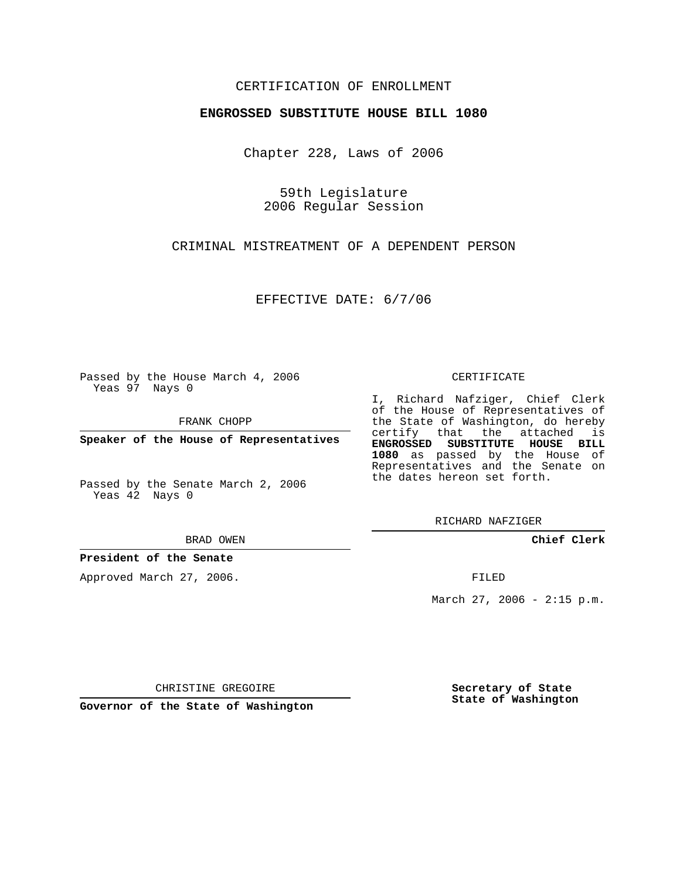## CERTIFICATION OF ENROLLMENT

## **ENGROSSED SUBSTITUTE HOUSE BILL 1080**

Chapter 228, Laws of 2006

59th Legislature 2006 Regular Session

CRIMINAL MISTREATMENT OF A DEPENDENT PERSON

EFFECTIVE DATE: 6/7/06

Passed by the House March 4, 2006 Yeas 97 Nays 0

FRANK CHOPP

**Speaker of the House of Representatives**

Passed by the Senate March 2, 2006 Yeas  $4\overline{2}$  Nays 0

BRAD OWEN

**President of the Senate**

Approved March 27, 2006.

CERTIFICATE

I, Richard Nafziger, Chief Clerk of the House of Representatives of the State of Washington, do hereby certify that the attached is **ENGROSSED SUBSTITUTE HOUSE BILL 1080** as passed by the House of Representatives and the Senate on the dates hereon set forth.

RICHARD NAFZIGER

**Chief Clerk**

FILED

March 27, 2006 -  $2:15$  p.m.

CHRISTINE GREGOIRE

**Governor of the State of Washington**

**Secretary of State State of Washington**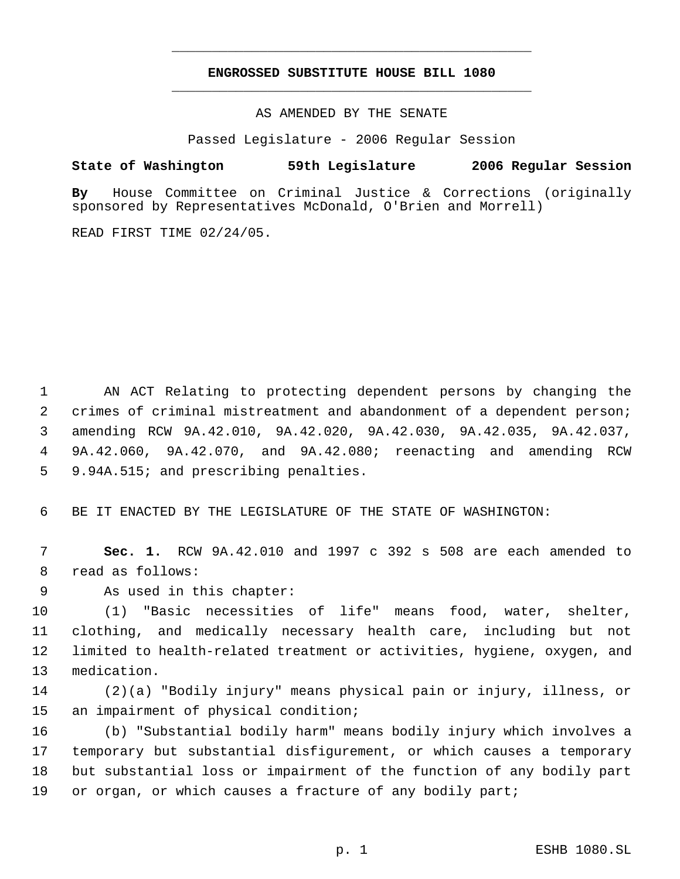## **ENGROSSED SUBSTITUTE HOUSE BILL 1080** \_\_\_\_\_\_\_\_\_\_\_\_\_\_\_\_\_\_\_\_\_\_\_\_\_\_\_\_\_\_\_\_\_\_\_\_\_\_\_\_\_\_\_\_\_

\_\_\_\_\_\_\_\_\_\_\_\_\_\_\_\_\_\_\_\_\_\_\_\_\_\_\_\_\_\_\_\_\_\_\_\_\_\_\_\_\_\_\_\_\_

AS AMENDED BY THE SENATE

Passed Legislature - 2006 Regular Session

## **State of Washington 59th Legislature 2006 Regular Session**

**By** House Committee on Criminal Justice & Corrections (originally sponsored by Representatives McDonald, O'Brien and Morrell)

READ FIRST TIME 02/24/05.

 AN ACT Relating to protecting dependent persons by changing the crimes of criminal mistreatment and abandonment of a dependent person; amending RCW 9A.42.010, 9A.42.020, 9A.42.030, 9A.42.035, 9A.42.037, 9A.42.060, 9A.42.070, and 9A.42.080; reenacting and amending RCW 9.94A.515; and prescribing penalties.

BE IT ENACTED BY THE LEGISLATURE OF THE STATE OF WASHINGTON:

 **Sec. 1.** RCW 9A.42.010 and 1997 c 392 s 508 are each amended to read as follows:

As used in this chapter:

 (1) "Basic necessities of life" means food, water, shelter, clothing, and medically necessary health care, including but not limited to health-related treatment or activities, hygiene, oxygen, and medication.

 (2)(a) "Bodily injury" means physical pain or injury, illness, or an impairment of physical condition;

 (b) "Substantial bodily harm" means bodily injury which involves a temporary but substantial disfigurement, or which causes a temporary but substantial loss or impairment of the function of any bodily part or organ, or which causes a fracture of any bodily part;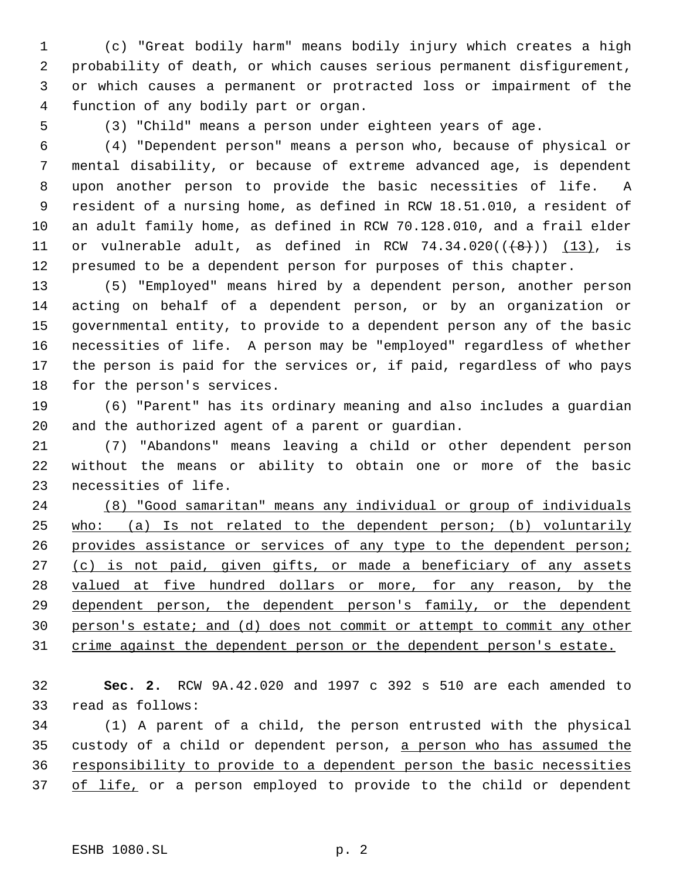(c) "Great bodily harm" means bodily injury which creates a high probability of death, or which causes serious permanent disfigurement, or which causes a permanent or protracted loss or impairment of the function of any bodily part or organ.

(3) "Child" means a person under eighteen years of age.

 (4) "Dependent person" means a person who, because of physical or mental disability, or because of extreme advanced age, is dependent upon another person to provide the basic necessities of life. A resident of a nursing home, as defined in RCW 18.51.010, a resident of an adult family home, as defined in RCW 70.128.010, and a frail elder 11 or vulnerable adult, as defined in RCW  $74.34.020((\left\lbrace 8 \right\rbrace))$  (13), is presumed to be a dependent person for purposes of this chapter.

 (5) "Employed" means hired by a dependent person, another person acting on behalf of a dependent person, or by an organization or governmental entity, to provide to a dependent person any of the basic necessities of life. A person may be "employed" regardless of whether the person is paid for the services or, if paid, regardless of who pays for the person's services.

 (6) "Parent" has its ordinary meaning and also includes a guardian and the authorized agent of a parent or guardian.

 (7) "Abandons" means leaving a child or other dependent person without the means or ability to obtain one or more of the basic necessities of life.

 (8) "Good samaritan" means any individual or group of individuals 25 who: (a) Is not related to the dependent person; (b) voluntarily 26 provides assistance or services of any type to the dependent person; 27 (c) is not paid, given gifts, or made a beneficiary of any assets 28 valued at five hundred dollars or more, for any reason, by the 29 dependent person, the dependent person's family, or the dependent person's estate; and (d) does not commit or attempt to commit any other 31 crime against the dependent person or the dependent person's estate.

 **Sec. 2.** RCW 9A.42.020 and 1997 c 392 s 510 are each amended to read as follows:

 (1) A parent of a child, the person entrusted with the physical custody of a child or dependent person, a person who has assumed the 36 responsibility to provide to a dependent person the basic necessities 37 of life, or a person employed to provide to the child or dependent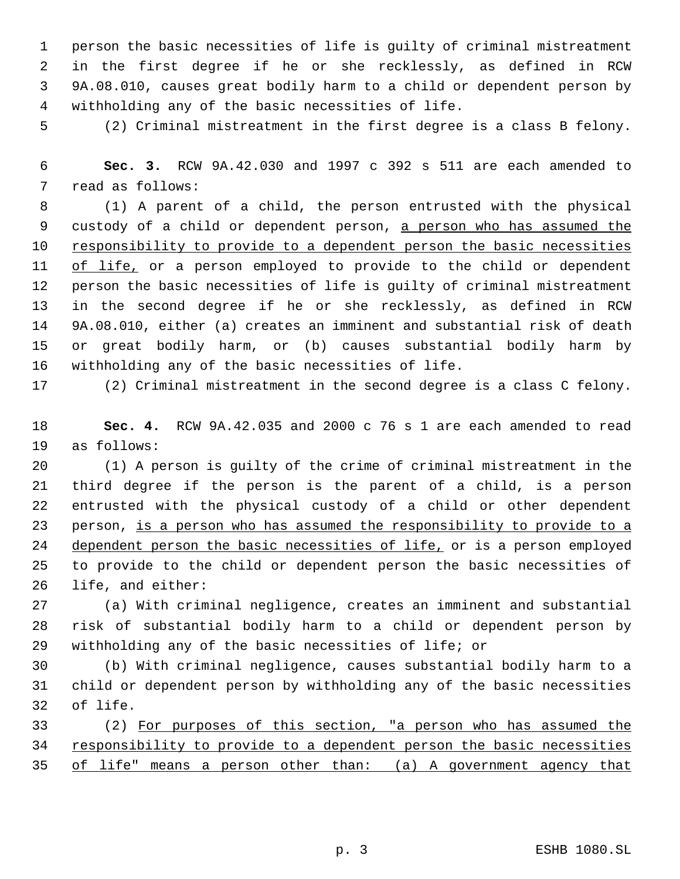person the basic necessities of life is guilty of criminal mistreatment in the first degree if he or she recklessly, as defined in RCW 9A.08.010, causes great bodily harm to a child or dependent person by withholding any of the basic necessities of life.

(2) Criminal mistreatment in the first degree is a class B felony.

 **Sec. 3.** RCW 9A.42.030 and 1997 c 392 s 511 are each amended to read as follows:

 (1) A parent of a child, the person entrusted with the physical custody of a child or dependent person, a person who has assumed the 10 responsibility to provide to a dependent person the basic necessities 11 of life, or a person employed to provide to the child or dependent person the basic necessities of life is guilty of criminal mistreatment in the second degree if he or she recklessly, as defined in RCW 9A.08.010, either (a) creates an imminent and substantial risk of death or great bodily harm, or (b) causes substantial bodily harm by withholding any of the basic necessities of life.

(2) Criminal mistreatment in the second degree is a class C felony.

 **Sec. 4.** RCW 9A.42.035 and 2000 c 76 s 1 are each amended to read as follows:

 (1) A person is guilty of the crime of criminal mistreatment in the third degree if the person is the parent of a child, is a person entrusted with the physical custody of a child or other dependent person, is a person who has assumed the responsibility to provide to a 24 dependent person the basic necessities of life, or is a person employed to provide to the child or dependent person the basic necessities of life, and either:

 (a) With criminal negligence, creates an imminent and substantial risk of substantial bodily harm to a child or dependent person by withholding any of the basic necessities of life; or

 (b) With criminal negligence, causes substantial bodily harm to a child or dependent person by withholding any of the basic necessities of life.

 (2) For purposes of this section, "a person who has assumed the 34 responsibility to provide to a dependent person the basic necessities of life" means a person other than: (a) A government agency that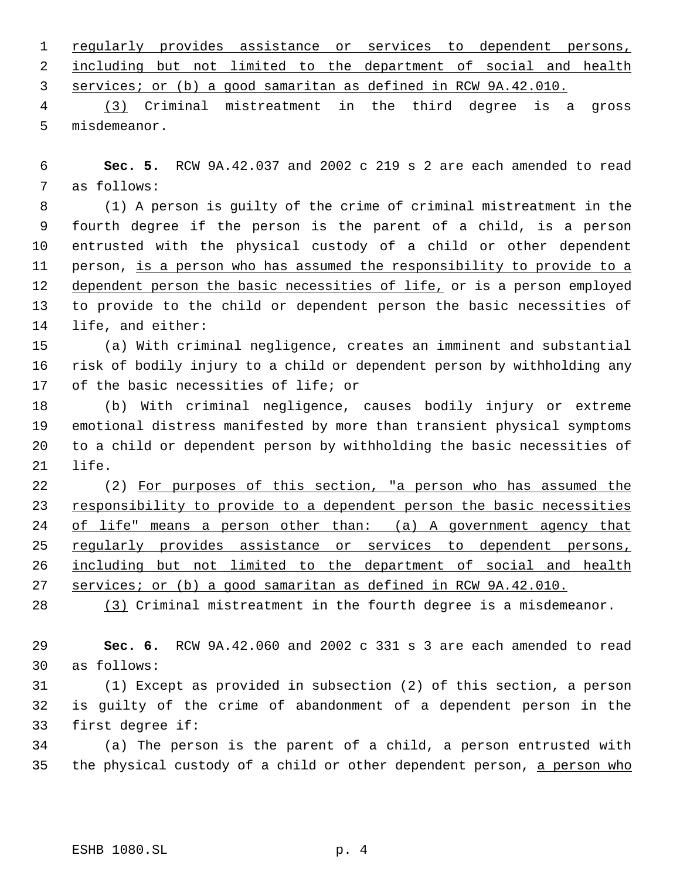regularly provides assistance or services to dependent persons, 2 including but not limited to the department of social and health services; or (b) a good samaritan as defined in RCW 9A.42.010.

 (3) Criminal mistreatment in the third degree is a gross misdemeanor.

 **Sec. 5.** RCW 9A.42.037 and 2002 c 219 s 2 are each amended to read as follows:

 (1) A person is guilty of the crime of criminal mistreatment in the fourth degree if the person is the parent of a child, is a person entrusted with the physical custody of a child or other dependent person, is a person who has assumed the responsibility to provide to a 12 dependent person the basic necessities of life, or is a person employed to provide to the child or dependent person the basic necessities of life, and either:

 (a) With criminal negligence, creates an imminent and substantial risk of bodily injury to a child or dependent person by withholding any of the basic necessities of life; or

 (b) With criminal negligence, causes bodily injury or extreme emotional distress manifested by more than transient physical symptoms to a child or dependent person by withholding the basic necessities of life.

 (2) For purposes of this section, "a person who has assumed the 23 responsibility to provide to a dependent person the basic necessities 24 of life" means a person other than: (a) A government agency that 25 regularly provides assistance or services to dependent persons, including but not limited to the department of social and health services; or (b) a good samaritan as defined in RCW 9A.42.010.

(3) Criminal mistreatment in the fourth degree is a misdemeanor.

 **Sec. 6.** RCW 9A.42.060 and 2002 c 331 s 3 are each amended to read as follows:

 (1) Except as provided in subsection (2) of this section, a person is guilty of the crime of abandonment of a dependent person in the first degree if:

 (a) The person is the parent of a child, a person entrusted with 35 the physical custody of a child or other dependent person, a person who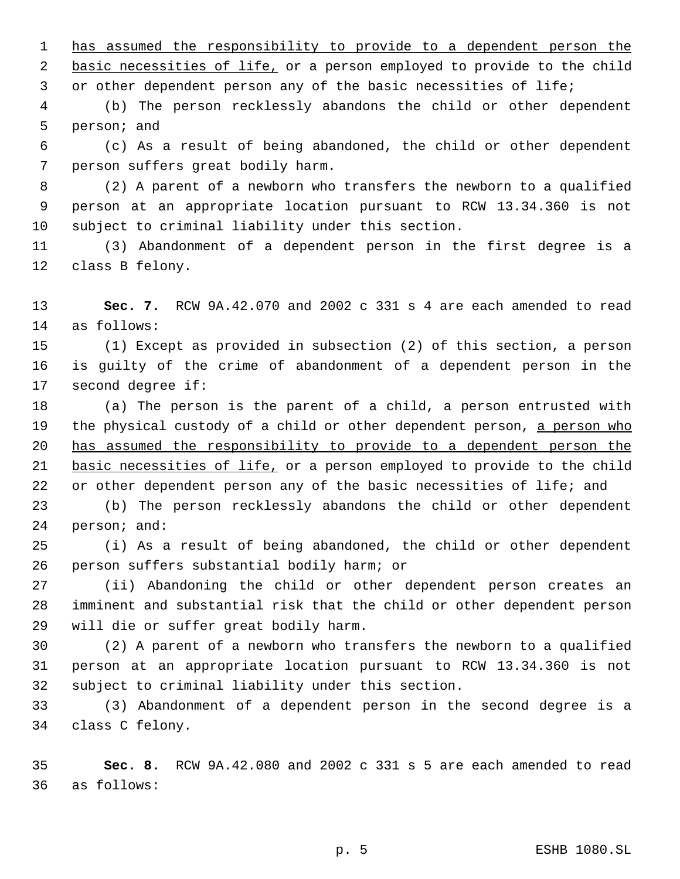has assumed the responsibility to provide to a dependent person the 2 basic necessities of life, or a person employed to provide to the child or other dependent person any of the basic necessities of life;

 (b) The person recklessly abandons the child or other dependent person; and

 (c) As a result of being abandoned, the child or other dependent person suffers great bodily harm.

 (2) A parent of a newborn who transfers the newborn to a qualified person at an appropriate location pursuant to RCW 13.34.360 is not subject to criminal liability under this section.

 (3) Abandonment of a dependent person in the first degree is a class B felony.

 **Sec. 7.** RCW 9A.42.070 and 2002 c 331 s 4 are each amended to read as follows:

 (1) Except as provided in subsection (2) of this section, a person is guilty of the crime of abandonment of a dependent person in the second degree if:

 (a) The person is the parent of a child, a person entrusted with 19 the physical custody of a child or other dependent person, a person who has assumed the responsibility to provide to a dependent person the 21 basic necessities of life, or a person employed to provide to the child 22 or other dependent person any of the basic necessities of life; and

 (b) The person recklessly abandons the child or other dependent person; and:

 (i) As a result of being abandoned, the child or other dependent person suffers substantial bodily harm; or

 (ii) Abandoning the child or other dependent person creates an imminent and substantial risk that the child or other dependent person will die or suffer great bodily harm.

 (2) A parent of a newborn who transfers the newborn to a qualified person at an appropriate location pursuant to RCW 13.34.360 is not subject to criminal liability under this section.

 (3) Abandonment of a dependent person in the second degree is a class C felony.

 **Sec. 8.** RCW 9A.42.080 and 2002 c 331 s 5 are each amended to read as follows: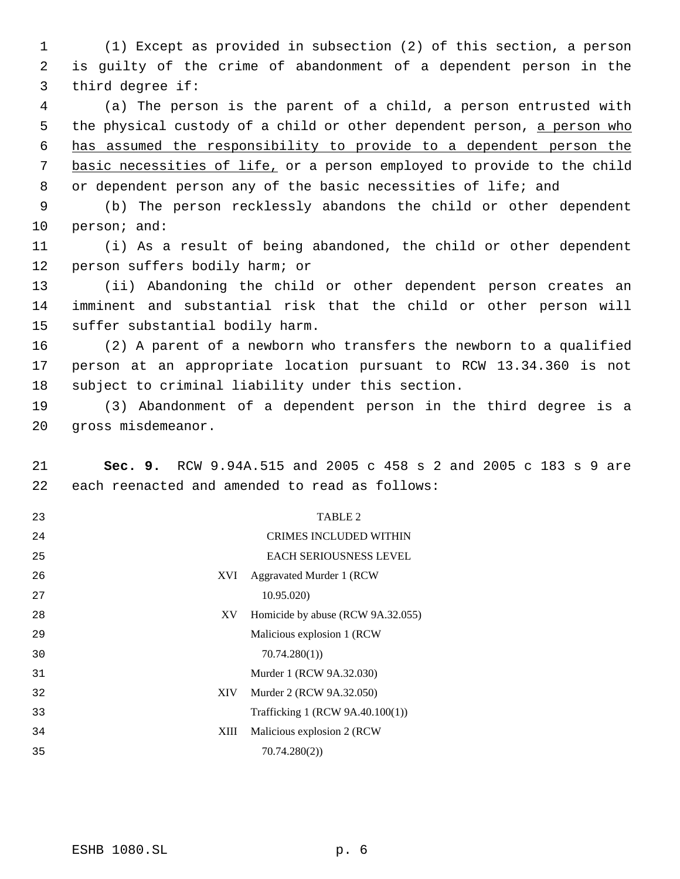(1) Except as provided in subsection (2) of this section, a person is guilty of the crime of abandonment of a dependent person in the third degree if:

 (a) The person is the parent of a child, a person entrusted with 5 the physical custody of a child or other dependent person, a person who has assumed the responsibility to provide to a dependent person the basic necessities of life, or a person employed to provide to the child 8 or dependent person any of the basic necessities of life; and

 (b) The person recklessly abandons the child or other dependent person; and:

 (i) As a result of being abandoned, the child or other dependent person suffers bodily harm; or

 (ii) Abandoning the child or other dependent person creates an imminent and substantial risk that the child or other person will suffer substantial bodily harm.

 (2) A parent of a newborn who transfers the newborn to a qualified person at an appropriate location pursuant to RCW 13.34.360 is not subject to criminal liability under this section.

 (3) Abandonment of a dependent person in the third degree is a gross misdemeanor.

 **Sec. 9.** RCW 9.94A.515 and 2005 c 458 s 2 and 2005 c 183 s 9 are each reenacted and amended to read as follows:

| 23 |      | TABLE 2                           |
|----|------|-----------------------------------|
| 24 |      | <b>CRIMES INCLUDED WITHIN</b>     |
| 25 |      | <b>EACH SERIOUSNESS LEVEL</b>     |
| 26 | XVI. | Aggravated Murder 1 (RCW)         |
| 27 |      | 10.95.020)                        |
| 28 | XV   | Homicide by abuse (RCW 9A.32.055) |
| 29 |      | Malicious explosion 1 (RCW        |
| 30 |      | 70.74.280(1)                      |
| 31 |      | Murder 1 (RCW 9A.32.030)          |
| 32 | XIV  | Murder 2 (RCW 9A.32.050)          |
| 33 |      | Trafficking 1 (RCW 9A.40.100(1))  |
| 34 | XIII | Malicious explosion 2 (RCW)       |
| 35 |      | 70.74.280(2)                      |
|    |      |                                   |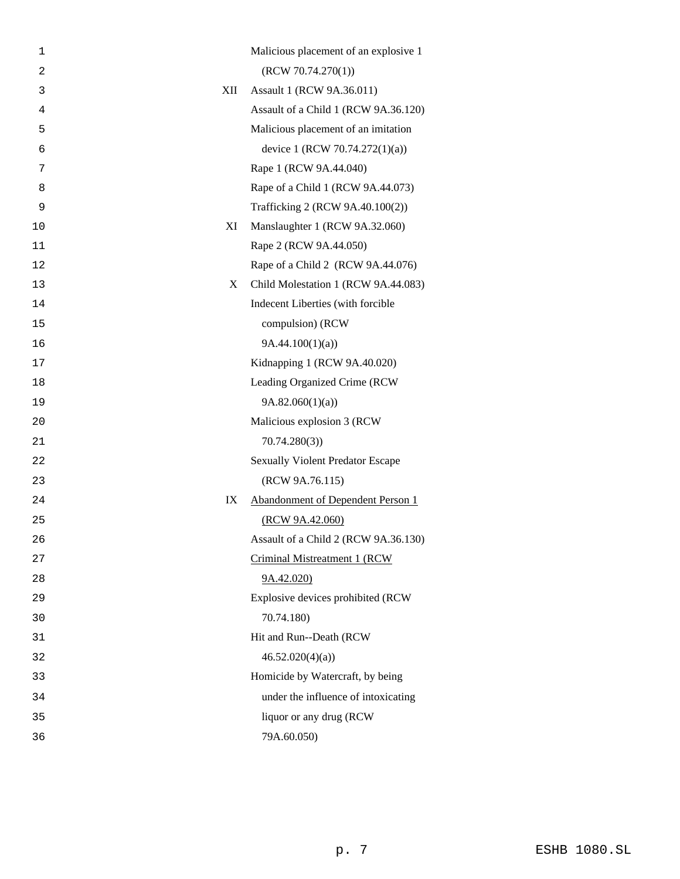| 1              |     | Malicious placement of an explosive 1   |
|----------------|-----|-----------------------------------------|
| $\overline{2}$ |     | (RCW 70.74.270(1))                      |
| 3              | XII | Assault 1 (RCW 9A.36.011)               |
| 4              |     | Assault of a Child 1 (RCW 9A.36.120)    |
| 5              |     | Malicious placement of an imitation     |
| 6              |     | device 1 (RCW 70.74.272(1)(a))          |
| 7              |     | Rape 1 (RCW 9A.44.040)                  |
| 8              |     | Rape of a Child 1 (RCW 9A.44.073)       |
| 9              |     | Trafficking 2 (RCW 9A.40.100(2))        |
| 10             | XI  | Manslaughter 1 (RCW 9A.32.060)          |
| 11             |     | Rape 2 (RCW 9A.44.050)                  |
| 12             |     | Rape of a Child 2 (RCW 9A.44.076)       |
| 13             | X   | Child Molestation 1 (RCW 9A.44.083)     |
| 14             |     | Indecent Liberties (with forcible       |
| 15             |     | compulsion) (RCW                        |
| 16             |     | 9A.44.100(1)(a)                         |
| 17             |     | Kidnapping 1 (RCW 9A.40.020)            |
| 18             |     | Leading Organized Crime (RCW            |
| 19             |     | 9A.82.060(1)(a)                         |
| 20             |     | Malicious explosion 3 (RCW              |
| 21             |     | 70.74.280(3)                            |
| 22             |     | <b>Sexually Violent Predator Escape</b> |
| 23             |     | (RCW 9A.76.115)                         |
| 24             | IX  | Abandonment of Dependent Person 1       |
| 25             |     | (RCW 9A.42.060)                         |
| 26             |     | Assault of a Child 2 (RCW 9A.36.130)    |
| 27             |     | Criminal Mistreatment 1 (RCW            |
| 28             |     | 9A.42.020                               |
| 29             |     | Explosive devices prohibited (RCW       |
| 30             |     | 70.74.180)                              |
| 31             |     | Hit and Run--Death (RCW                 |
| 32             |     | 46.52.020(4)(a)                         |
| 33             |     | Homicide by Watercraft, by being        |
| 34             |     | under the influence of intoxicating     |
| 35             |     | liquor or any drug (RCW                 |
| 36             |     | 79A.60.050)                             |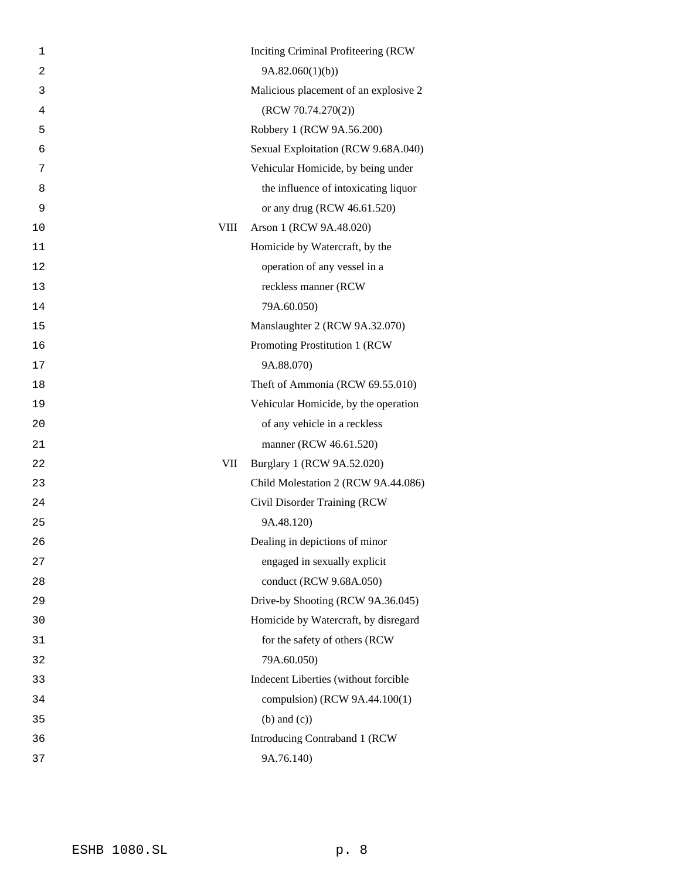| Inciting Criminal Profiteering (RCW)  |
|---------------------------------------|
| 9A.82.060(1)(b)                       |
| Malicious placement of an explosive 2 |
| (RCW 70.74.270(2))                    |
| Robbery 1 (RCW 9A.56.200)             |
| Sexual Exploitation (RCW 9.68A.040)   |
| Vehicular Homicide, by being under    |
| the influence of intoxicating liquor  |
| or any drug (RCW 46.61.520)           |
| VIII<br>Arson 1 (RCW 9A.48.020)       |
| Homicide by Watercraft, by the        |
| operation of any vessel in a          |
| reckless manner (RCW                  |
| 79A.60.050)                           |
| Manslaughter 2 (RCW 9A.32.070)        |
| Promoting Prostitution 1 (RCW         |
| 9A.88.070)                            |
| Theft of Ammonia (RCW 69.55.010)      |
| Vehicular Homicide, by the operation  |
| of any vehicle in a reckless          |
| manner (RCW 46.61.520)                |
| Burglary 1 (RCW 9A.52.020)<br>VII     |
| Child Molestation 2 (RCW 9A.44.086)   |
| Civil Disorder Training (RCW          |
| 9A.48.120)                            |
| Dealing in depictions of minor        |
| engaged in sexually explicit          |
| conduct (RCW 9.68A.050)               |
| Drive-by Shooting (RCW 9A.36.045)     |
| Homicide by Watercraft, by disregard  |
| for the safety of others (RCW         |
| 79A.60.050)                           |
| Indecent Liberties (without forcible  |
| compulsion) (RCW 9A.44.100(1)         |
| $(b)$ and $(c)$ )                     |
| Introducing Contraband 1 (RCW         |
| 9A.76.140)                            |
|                                       |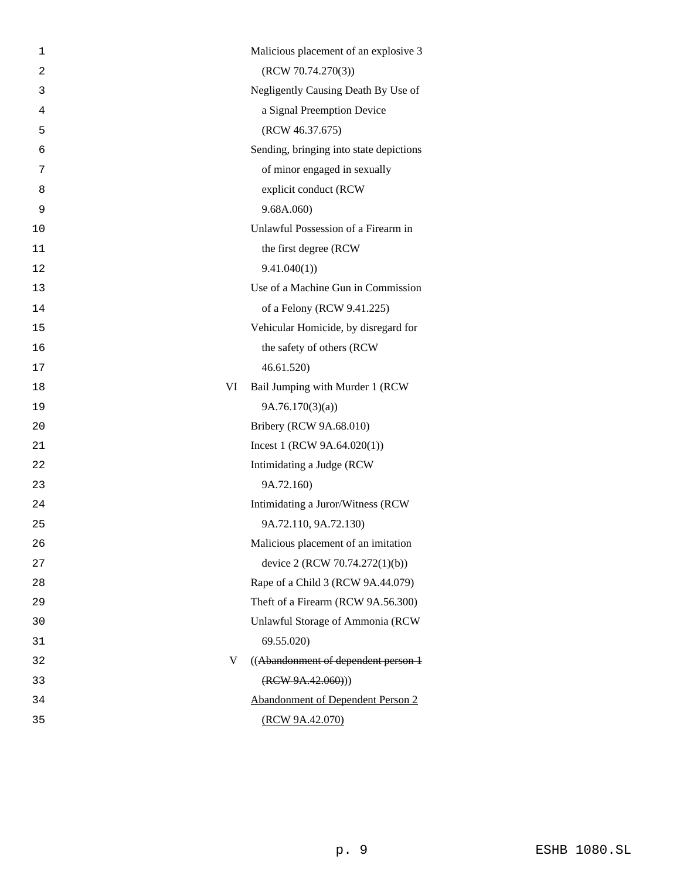| 1              | Malicious placement of an explosive 3    |
|----------------|------------------------------------------|
| $\overline{c}$ | (RCW 70.74.270(3))                       |
| 3              | Negligently Causing Death By Use of      |
| 4              | a Signal Preemption Device               |
| 5              | (RCW 46.37.675)                          |
| 6              | Sending, bringing into state depictions  |
| 7              | of minor engaged in sexually             |
| 8              | explicit conduct (RCW                    |
| 9              | 9.68A.060                                |
| 10             | Unlawful Possession of a Firearm in      |
| 11             | the first degree (RCW                    |
| 12             | 9.41.040(1)                              |
| 13             | Use of a Machine Gun in Commission       |
| 14             | of a Felony (RCW 9.41.225)               |
| 15             | Vehicular Homicide, by disregard for     |
| 16             | the safety of others (RCW                |
| 17             | 46.61.520)                               |
| 18             | Bail Jumping with Murder 1 (RCW<br>VI    |
| 19             | 9A.76.170(3)(a)                          |
| 20             | Bribery (RCW 9A.68.010)                  |
| 21             | Incest 1 (RCW $9A.64.020(1)$ )           |
| 22             | Intimidating a Judge (RCW                |
| 23             | 9A.72.160)                               |
| 24             | Intimidating a Juror/Witness (RCW        |
| 25             | 9A.72.110, 9A.72.130)                    |
| 26             | Malicious placement of an imitation      |
| 27             | device 2 (RCW 70.74.272(1)(b))           |
| 28             | Rape of a Child 3 (RCW 9A.44.079)        |
| 29             | Theft of a Firearm (RCW 9A.56.300)       |
| 30             | Unlawful Storage of Ammonia (RCW         |
| 31             | 69.55.020)                               |
| 32             | V<br>((Abandonment of dependent person 1 |
| 33             | (REW 9A.42.060))                         |
| 34             | <b>Abandonment of Dependent Person 2</b> |
| 35             | (RCW 9A.42.070)                          |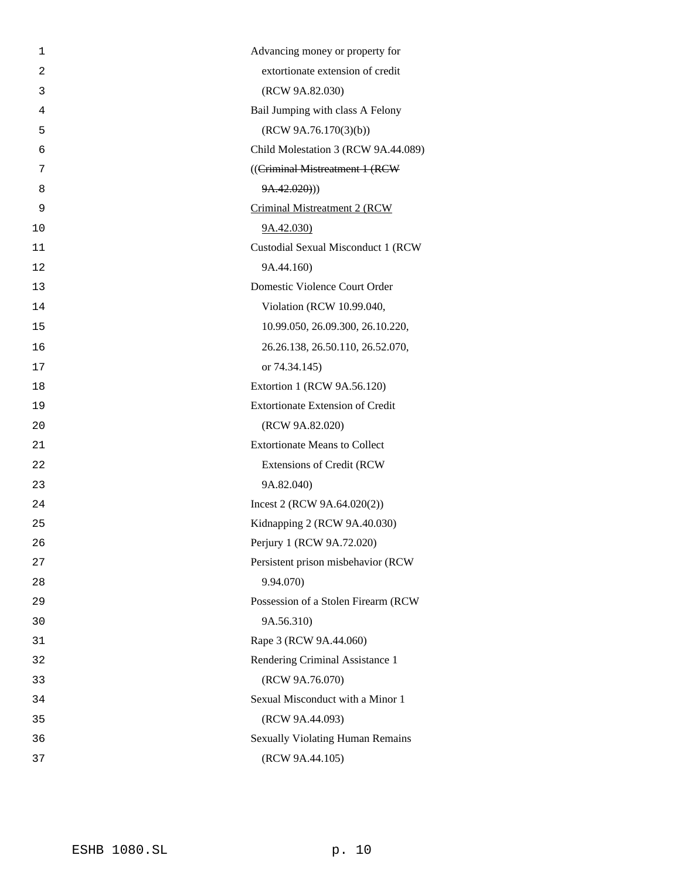| $\mathbf{1}$   | Advancing money or property for         |
|----------------|-----------------------------------------|
| $\overline{2}$ | extortionate extension of credit        |
| 3              | (RCW 9A.82.030)                         |
| 4              | Bail Jumping with class A Felony        |
| 5              | (RCW 9A.76.170(3)(b))                   |
| 6              | Child Molestation 3 (RCW 9A.44.089)     |
| 7              | ((Criminal Mistreatment 1 (RCW          |
| 8              | 9A.42.020))                             |
| 9              | Criminal Mistreatment 2 (RCW            |
| 10             | 9A.42.030                               |
| 11             | Custodial Sexual Misconduct 1 (RCW      |
| 12             | 9A.44.160)                              |
| 13             | Domestic Violence Court Order           |
| 14             | Violation (RCW 10.99.040,               |
| 15             | 10.99.050, 26.09.300, 26.10.220,        |
| 16             | 26.26.138, 26.50.110, 26.52.070,        |
| 17             | or 74.34.145)                           |
| 18             | Extortion 1 (RCW 9A.56.120)             |
| 19             | <b>Extortionate Extension of Credit</b> |
| 20             | (RCW 9A.82.020)                         |
| 21             | <b>Extortionate Means to Collect</b>    |
| 22             | <b>Extensions of Credit (RCW</b>        |
| 23             | 9A.82.040)                              |
| 24             | Incest 2 (RCW $9A.64.020(2)$ )          |
| 25             | Kidnapping 2 (RCW 9A.40.030)            |
| 26             | Perjury 1 (RCW 9A.72.020)               |
| 27             | Persistent prison misbehavior (RCW      |
| 28             | 9.94.070)                               |
| 29             | Possession of a Stolen Firearm (RCW     |
| 30             | 9A.56.310)                              |
| 31             | Rape 3 (RCW 9A.44.060)                  |
| 32             | Rendering Criminal Assistance 1         |
| 33             | (RCW 9A.76.070)                         |
| 34             | Sexual Misconduct with a Minor 1        |
| 35             | (RCW 9A.44.093)                         |
| 36             | <b>Sexually Violating Human Remains</b> |
| 37             | (RCW 9A.44.105)                         |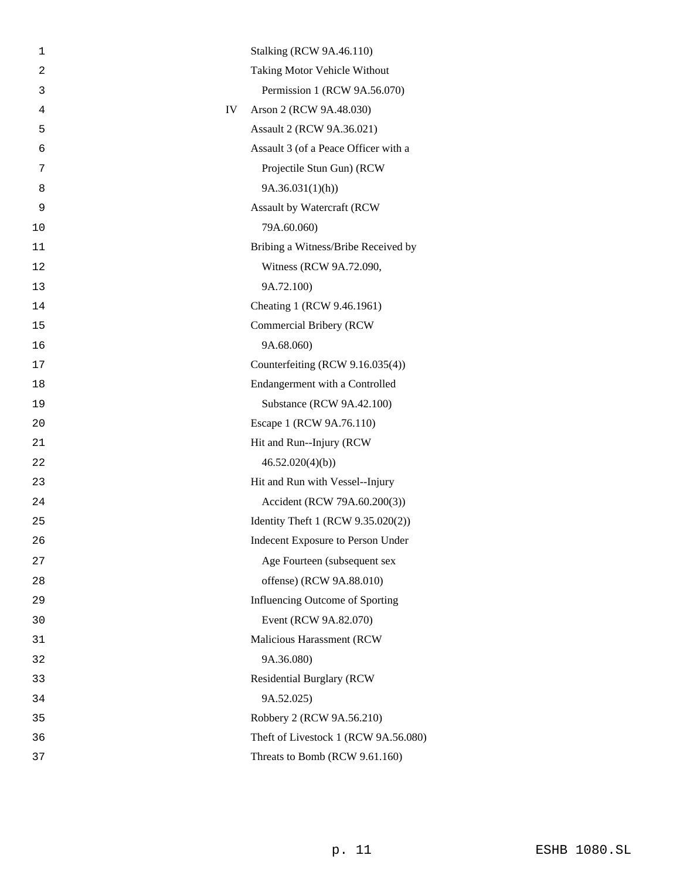| 1  | <b>Stalking (RCW 9A.46.110)</b>      |
|----|--------------------------------------|
| 2  | Taking Motor Vehicle Without         |
| 3  | Permission 1 (RCW 9A.56.070)         |
| 4  | Arson 2 (RCW 9A.48.030)<br>IV        |
| 5  | Assault 2 (RCW 9A.36.021)            |
| 6  | Assault 3 (of a Peace Officer with a |
| 7  | Projectile Stun Gun) (RCW            |
| 8  | 9A.36.031(1)(h)                      |
| 9  | Assault by Watercraft (RCW           |
| 10 | 79A.60.060)                          |
| 11 | Bribing a Witness/Bribe Received by  |
| 12 | Witness (RCW 9A.72.090,              |
| 13 | 9A.72.100)                           |
| 14 | Cheating 1 (RCW 9.46.1961)           |
| 15 | <b>Commercial Bribery (RCW</b>       |
| 16 | 9A.68.060)                           |
| 17 | Counterfeiting (RCW 9.16.035(4))     |
| 18 | Endangerment with a Controlled       |
| 19 | Substance (RCW 9A.42.100)            |
| 20 | Escape 1 (RCW 9A.76.110)             |
| 21 | Hit and Run--Injury (RCW             |
| 22 | 46.52.020(4)(b)                      |
| 23 | Hit and Run with Vessel--Injury      |
| 24 | Accident (RCW 79A.60.200(3))         |
| 25 | Identity Theft 1 (RCW 9.35.020(2))   |
| 26 | Indecent Exposure to Person Under    |
| 27 | Age Fourteen (subsequent sex         |
| 28 | offense) (RCW 9A.88.010)             |
| 29 | Influencing Outcome of Sporting      |
| 30 | Event (RCW 9A.82.070)                |
| 31 | Malicious Harassment (RCW            |
| 32 | 9A.36.080)                           |
| 33 | <b>Residential Burglary (RCW)</b>    |
| 34 | 9A.52.025)                           |
| 35 | Robbery 2 (RCW 9A.56.210)            |
| 36 | Theft of Livestock 1 (RCW 9A.56.080) |
| 37 | Threats to Bomb (RCW 9.61.160)       |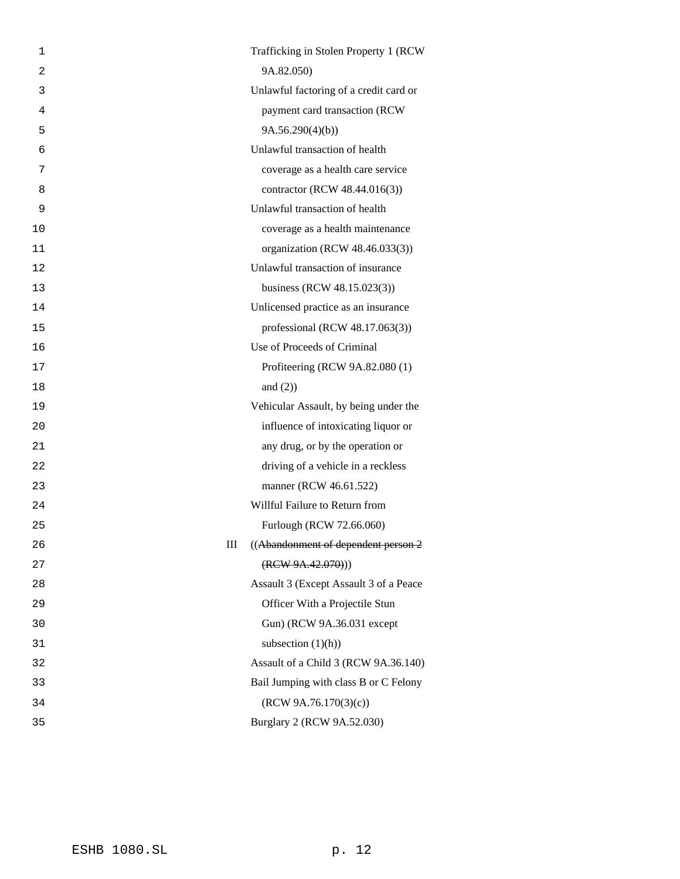| 1  | Trafficking in Stolen Property 1 (RCW)   |
|----|------------------------------------------|
| 2  | 9A.82.050)                               |
| 3  | Unlawful factoring of a credit card or   |
| 4  | payment card transaction (RCW            |
| 5  | 9A.56.290(4)(b)                          |
| 6  | Unlawful transaction of health           |
| 7  | coverage as a health care service        |
| 8  | contractor (RCW 48.44.016(3))            |
| 9  | Unlawful transaction of health           |
| 10 | coverage as a health maintenance         |
| 11 | organization (RCW 48.46.033(3))          |
| 12 | Unlawful transaction of insurance        |
| 13 | business (RCW 48.15.023(3))              |
| 14 | Unlicensed practice as an insurance      |
| 15 | professional (RCW 48.17.063(3))          |
| 16 | Use of Proceeds of Criminal              |
| 17 | Profiteering (RCW 9A.82.080 (1)          |
| 18 | and $(2)$ )                              |
| 19 | Vehicular Assault, by being under the    |
| 20 | influence of intoxicating liquor or      |
| 21 | any drug, or by the operation or         |
| 22 | driving of a vehicle in a reckless       |
| 23 | manner (RCW 46.61.522)                   |
| 24 | Willful Failure to Return from           |
| 25 | Furlough (RCW 72.66.060)                 |
| 26 | ((Abandonment of dependent person 2<br>Ш |
| 27 | (RCW 9A.42.070))                         |
| 28 | Assault 3 (Except Assault 3 of a Peace   |
| 29 | Officer With a Projectile Stun           |
| 30 | Gun) (RCW 9A.36.031 except               |
| 31 | subsection $(1)(h)$ )                    |
| 32 | Assault of a Child 3 (RCW 9A.36.140)     |
| 33 | Bail Jumping with class B or C Felony    |
| 34 | (RCW 9A.76.170(3)(c))                    |
| 35 | Burglary 2 (RCW 9A.52.030)               |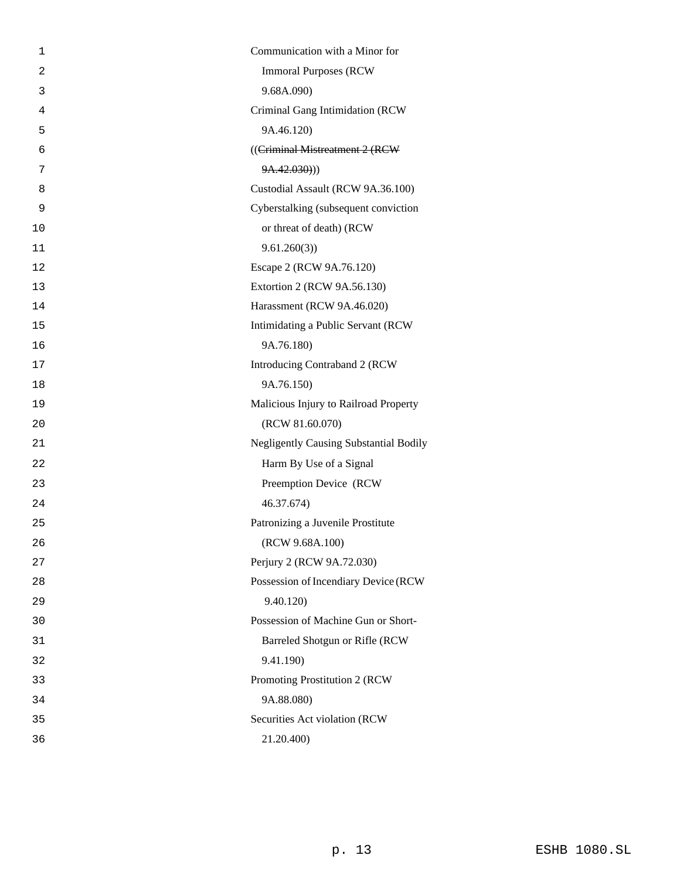| 1  | Communication with a Minor for                |
|----|-----------------------------------------------|
| 2  | <b>Immoral Purposes (RCW)</b>                 |
| 3  | 9.68A.090)                                    |
| 4  | Criminal Gang Intimidation (RCW               |
| 5  | 9A.46.120)                                    |
| 6  | ((Criminal Mistreatment 2 (RCW                |
| 7  | 9A.42.030))                                   |
| 8  | Custodial Assault (RCW 9A.36.100)             |
| 9  | Cyberstalking (subsequent conviction          |
| 10 | or threat of death) (RCW                      |
| 11 | 9.61.260(3)                                   |
| 12 | Escape 2 (RCW 9A.76.120)                      |
| 13 | Extortion 2 (RCW 9A.56.130)                   |
| 14 | Harassment (RCW 9A.46.020)                    |
| 15 | Intimidating a Public Servant (RCW            |
| 16 | 9A.76.180)                                    |
| 17 | Introducing Contraband 2 (RCW                 |
| 18 | 9A.76.150)                                    |
| 19 | Malicious Injury to Railroad Property         |
| 20 | (RCW 81.60.070)                               |
| 21 | <b>Negligently Causing Substantial Bodily</b> |
| 22 | Harm By Use of a Signal                       |
| 23 | Preemption Device (RCW                        |
| 24 | 46.37.674)                                    |
| 25 | Patronizing a Juvenile Prostitute             |
| 26 | (RCW 9.68A.100)                               |
| 27 | Perjury 2 (RCW 9A.72.030)                     |
| 28 | Possession of Incendiary Device (RCW          |
| 29 | 9.40.120)                                     |
| 30 | Possession of Machine Gun or Short-           |
| 31 | Barreled Shotgun or Rifle (RCW                |
| 32 | 9.41.190)                                     |
| 33 | Promoting Prostitution 2 (RCW                 |
| 34 | 9A.88.080)                                    |
| 35 | Securities Act violation (RCW                 |
| 36 | 21.20.400)                                    |
|    |                                               |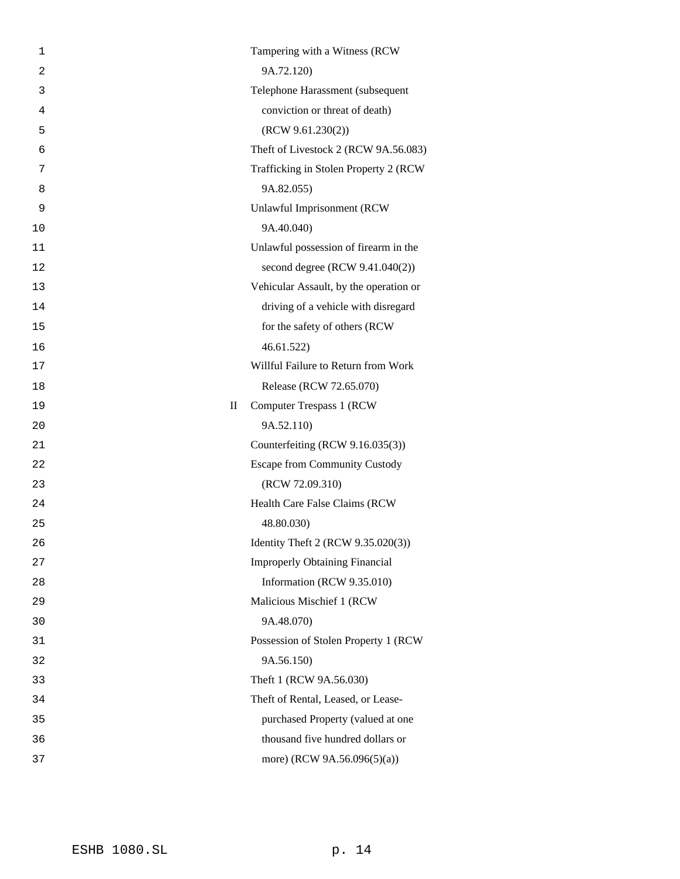| 1              | Tampering with a Witness (RCW             |
|----------------|-------------------------------------------|
| $\overline{c}$ | 9A.72.120)                                |
| 3              | Telephone Harassment (subsequent          |
| 4              | conviction or threat of death)            |
| 5              | (RCW 9.61.230(2))                         |
| 6              | Theft of Livestock 2 (RCW 9A.56.083)      |
| 7              | Trafficking in Stolen Property 2 (RCW)    |
| 8              | 9A.82.055)                                |
| 9              | Unlawful Imprisonment (RCW                |
| 10             | 9A.40.040)                                |
| 11             | Unlawful possession of firearm in the     |
| 12             | second degree (RCW $9.41.040(2)$ )        |
| 13             | Vehicular Assault, by the operation or    |
| 14             | driving of a vehicle with disregard       |
| 15             | for the safety of others (RCW             |
| 16             | 46.61.522                                 |
| 17             | Willful Failure to Return from Work       |
| 18             | Release (RCW 72.65.070)                   |
| 19             | $\mathbf{I}$<br>Computer Trespass 1 (RCW) |
| 20             | 9A.52.110)                                |
| 21             | Counterfeiting (RCW 9.16.035(3))          |
| 22             | <b>Escape from Community Custody</b>      |
| 23             | (RCW 72.09.310)                           |
| 24             | Health Care False Claims (RCW             |
| 25             | 48.80.030)                                |
| 26             | Identity Theft 2 (RCW 9.35.020(3))        |
| 27             | <b>Improperly Obtaining Financial</b>     |
| 28             | Information (RCW 9.35.010)                |
| 29             | Malicious Mischief 1 (RCW                 |
| 30             | 9A.48.070)                                |
| 31             | Possession of Stolen Property 1 (RCW      |
| 32             | 9A.56.150)                                |
| 33             | Theft 1 (RCW 9A.56.030)                   |
| 34             | Theft of Rental, Leased, or Lease-        |
| 35             | purchased Property (valued at one         |
| 36             | thousand five hundred dollars or          |
| 37             | more) (RCW 9A.56.096(5)(a))               |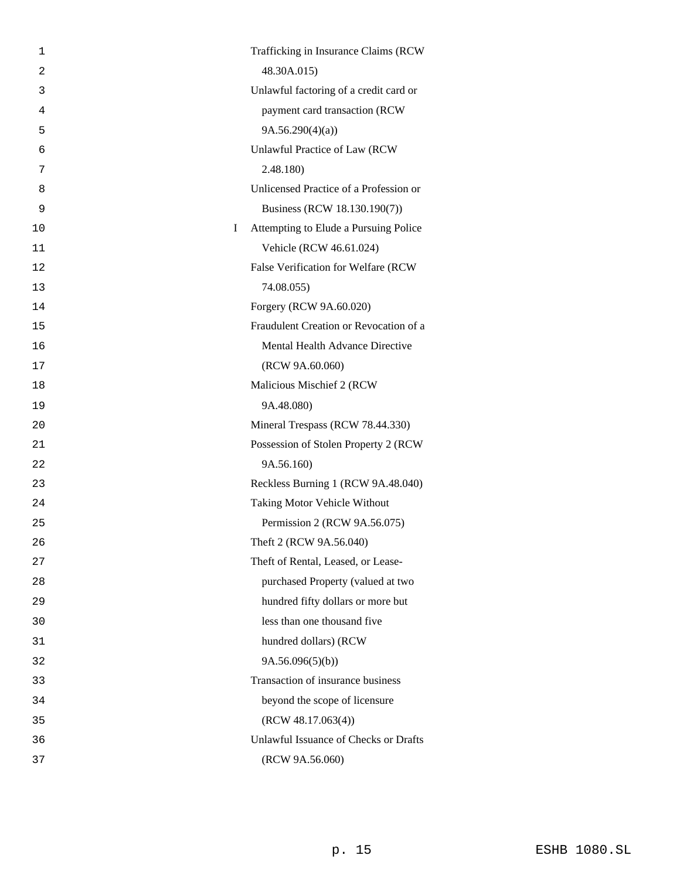| 1              | Trafficking in Insurance Claims (RCW       |  |
|----------------|--------------------------------------------|--|
| $\overline{c}$ | 48.30A.015)                                |  |
| 3              | Unlawful factoring of a credit card or     |  |
| 4              | payment card transaction (RCW              |  |
| 5              | 9A.56.290(4)(a)                            |  |
| 6              | Unlawful Practice of Law (RCW              |  |
| 7              | 2.48.180)                                  |  |
| 8              | Unlicensed Practice of a Profession or     |  |
| 9              | Business (RCW 18.130.190(7))               |  |
| 10             | I<br>Attempting to Elude a Pursuing Police |  |
| 11             | Vehicle (RCW 46.61.024)                    |  |
| 12             | False Verification for Welfare (RCW        |  |
| 13             | 74.08.055)                                 |  |
| 14             | Forgery (RCW 9A.60.020)                    |  |
| 15             | Fraudulent Creation or Revocation of a     |  |
| 16             | Mental Health Advance Directive            |  |
| 17             | (RCW 9A.60.060)                            |  |
| 18             | Malicious Mischief 2 (RCW                  |  |
| 19             | 9A.48.080)                                 |  |
| 20             | Mineral Trespass (RCW 78.44.330)           |  |
| 21             | Possession of Stolen Property 2 (RCW       |  |
| 22             | 9A.56.160)                                 |  |
| 23             | Reckless Burning 1 (RCW 9A.48.040)         |  |
| 24             | Taking Motor Vehicle Without               |  |
| 25             | Permission 2 (RCW 9A.56.075)               |  |
| 26             | Theft 2 (RCW 9A.56.040)                    |  |
| 27             | Theft of Rental, Leased, or Lease-         |  |
| 28             | purchased Property (valued at two          |  |
| 29             | hundred fifty dollars or more but          |  |
| 30             | less than one thousand five                |  |
| 31             | hundred dollars) (RCW                      |  |
| 32             | 9A.56.096(5)(b)                            |  |
| 33             | Transaction of insurance business          |  |
| 34             | beyond the scope of licensure              |  |
| 35             | (RCW 48.17.063(4))                         |  |
| 36             | Unlawful Issuance of Checks or Drafts      |  |
| 37             | (RCW 9A.56.060)                            |  |